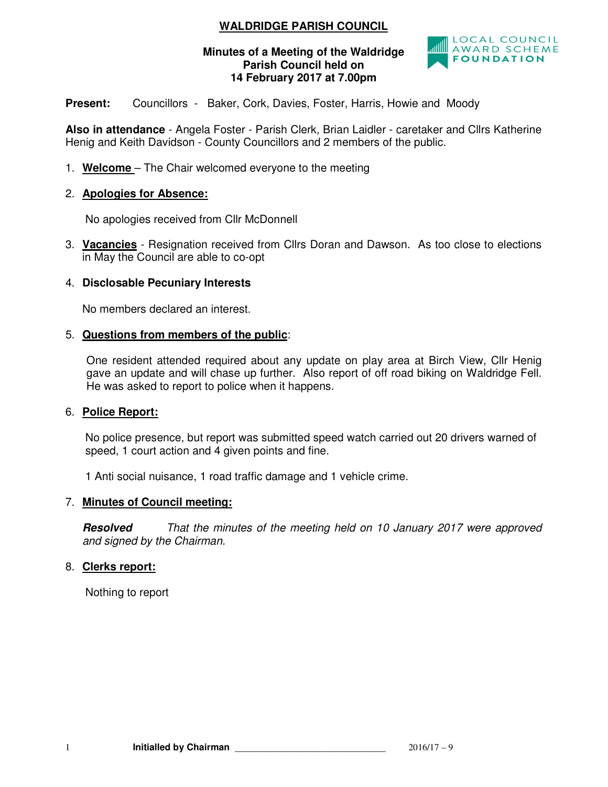# **WALDRIDGE PARISH COUNCIL**

# **Minutes of a Meeting of the Waldridge Parish Council held on 14 February 2017 at 7.00pm**



**Present:** Councillors - Baker, Cork, Davies, Foster, Harris, Howie and Moody

**Also in attendance** - Angela Foster - Parish Clerk, Brian Laidler - caretaker and Cllrs Katherine Henig and Keith Davidson - County Councillors and 2 members of the public.

1. **Welcome** – The Chair welcomed everyone to the meeting

### 2. **Apologies for Absence:**

No apologies received from Cllr McDonnell

3. **Vacancies** - Resignation received from Cllrs Doran and Dawson. As too close to elections in May the Council are able to co-opt

### 4. **Disclosable Pecuniary Interests**

No members declared an interest.

### 5. **Questions from members of the public**:

 One resident attended required about any update on play area at Birch View, Cllr Henig gave an update and will chase up further. Also report of off road biking on Waldridge Fell. He was asked to report to police when it happens.

#### 6. **Police Report:**

No police presence, but report was submitted speed watch carried out 20 drivers warned of speed, 1 court action and 4 given points and fine.

1 Anti social nuisance, 1 road traffic damage and 1 vehicle crime.

# 7. **Minutes of Council meeting:**

**Resolved** *That the minutes of the meeting held on 10 January 2017 were approved and signed by the Chairman.* 

# 8. **Clerks report:**

Nothing to report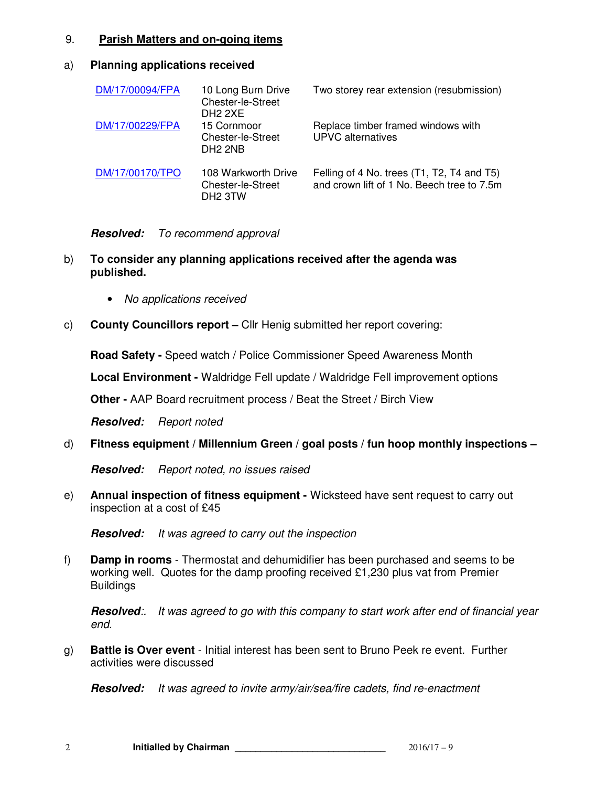## 9. **Parish Matters and on-going items**

#### a) **Planning applications received**

| DM/17/00094/FPA | 10 Long Burn Drive<br>Chester-le-Street<br>DH <sub>2</sub> 2XE         | Two storey rear extension (resubmission)                                                 |
|-----------------|------------------------------------------------------------------------|------------------------------------------------------------------------------------------|
| DM/17/00229/FPA | 15 Cornmoor<br><b>Chester-le-Street</b><br>DH <sub>2</sub> 2NB         | Replace timber framed windows with<br><b>UPVC</b> alternatives                           |
| DM/17/00170/TPO | 108 Warkworth Drive<br><b>Chester-le-Street</b><br>DH <sub>2</sub> 3TW | Felling of 4 No. trees (T1, T2, T4 and T5)<br>and crown lift of 1 No. Beech tree to 7.5m |

### **Resolved:** *To recommend approval*

- b) **To consider any planning applications received after the agenda was published.** 
	- *No applications received*
- c) **County Councillors report** Cllr Henig submitted her report covering:

**Road Safety -** Speed watch / Police Commissioner Speed Awareness Month

**Local Environment -** Waldridge Fell update / Waldridge Fell improvement options

**Other -** AAP Board recruitment process / Beat the Street / Birch View

**Resolved:** *Report noted* 

d) **Fitness equipment / Millennium Green / goal posts / fun hoop monthly inspections –** 

**Resolved:** *Report noted, no issues raised* 

e) **Annual inspection of fitness equipment -** Wicksteed have sent request to carry out inspection at a cost of £45

**Resolved:** *It was agreed to carry out the inspection*

f) **Damp in rooms** - Thermostat and dehumidifier has been purchased and seems to be working well. Quotes for the damp proofing received £1,230 plus vat from Premier **Buildings** 

**Resolved***:. It was agreed to go with this company to start work after end of financial year end.* 

g) **Battle is Over event** - Initial interest has been sent to Bruno Peek re event. Further activities were discussed

**Resolved:** *It was agreed to invite army/air/sea/fire cadets, find re-enactment*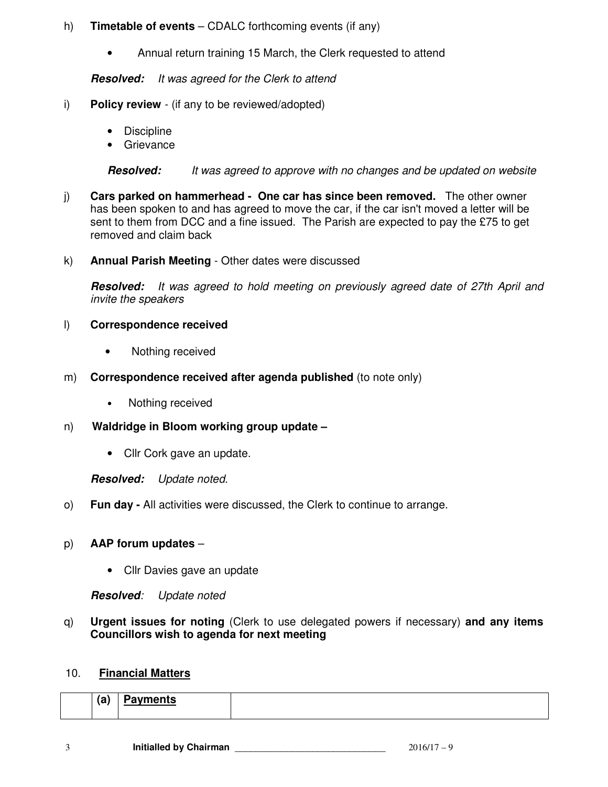# h) **Timetable of events** – CDALC forthcoming events (if any)

• Annual return training 15 March, the Clerk requested to attend

# **Resolved:** *It was agreed for the Clerk to attend*

- i) **Policy review**  (if any to be reviewed/adopted)
	- Discipline
	- Grievance

**Resolved:** *It was agreed to approve with no changes and be updated on website* 

- j) **Cars parked on hammerhead One car has since been removed.** The other owner has been spoken to and has agreed to move the car, if the car isn't moved a letter will be sent to them from DCC and a fine issued. The Parish are expected to pay the £75 to get removed and claim back
- k) **Annual Parish Meeting** Other dates were discussed

**Resolved:** *It was agreed to hold meeting on previously agreed date of 27th April and invite the speakers* 

# l) **Correspondence received**

- Nothing received
- m) **Correspondence received after agenda published** (to note only)
	- Nothing received
- n) **Waldridge in Bloom working group update** 
	- Cllr Cork gave an update.

**Resolved:** *Update noted.* 

o) **Fun day -** All activities were discussed, the Clerk to continue to arrange.

# p) **AAP forum updates** –

• Cllr Davies gave an update

**Resolved***: Update noted* 

q) **Urgent issues for noting** (Clerk to use delegated powers if necessary) **and any items Councillors wish to agenda for next meeting** 

# 10. **Financial Matters**

|--|--|--|--|--|--|--|

3 **Initialled by Chairman** \_\_\_\_\_\_\_\_\_\_\_\_\_\_\_\_\_\_\_\_\_\_\_\_\_\_\_\_\_ 2016/17 – 9